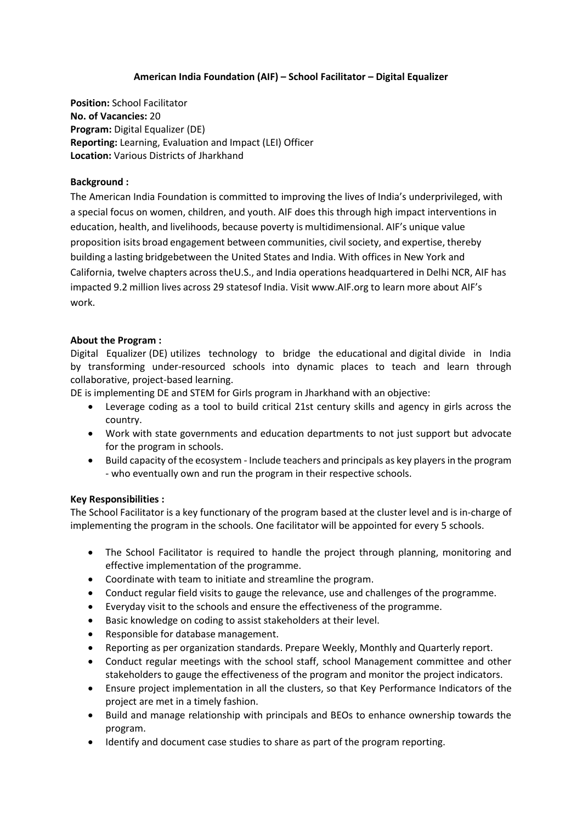# **American India Foundation (AIF) – School Facilitator – Digital Equalizer**

**Position:** School Facilitator **No. of Vacancies:** 20 **Program:** Digital Equalizer (DE) **Reporting:** Learning, Evaluation and Impact (LEI) Officer **Location:** Various Districts of Jharkhand

## **Background :**

The American India Foundation is committed to improving the lives of India's underprivileged, with a special focus on women, children, and youth. AIF does this through high impact interventions in education, health, and livelihoods, because poverty is multidimensional. AIF's unique value proposition isits broad engagement between communities, civilsociety, and expertise, thereby building a lasting bridgebetween the United States and India. With offices in New York and California, twelve chapters across theU.S., and India operations headquartered in Delhi NCR, AIF has impacted 9.2 million lives across 29 statesof India. Visit [www.AIF.org](http://www.aif.org/) to learn more about AIF's work.

### **About the Program :**

Digital Equalizer (DE) utilizes technology to bridge the educational and digital divide in India by transforming under-resourced schools into dynamic places to teach and learn through collaborative, project-based learning.

DE is implementing DE and STEM for Girls program in Jharkhand with an objective:

- Leverage coding as a tool to build critical 21st century skills and agency in girls across the country.
- Work with state governments and education departments to not just support but advocate for the program in schools.
- Build capacity of the ecosystem Include teachers and principals as key players in the program - who eventually own and run the program in their respective schools.

### **Key Responsibilities :**

The School Facilitator is a key functionary of the program based at the cluster level and is in-charge of implementing the program in the schools. One facilitator will be appointed for every 5 schools.

- The School Facilitator is required to handle the project through planning, monitoring and effective implementation of the programme.
- Coordinate with team to initiate and streamline the program.
- Conduct regular field visits to gauge the relevance, use and challenges of the programme.
- Everyday visit to the schools and ensure the effectiveness of the programme.
- Basic knowledge on coding to assist stakeholders at their level.
- Responsible for database management.
- Reporting as per organization standards. Prepare Weekly, Monthly and Quarterly report.
- Conduct regular meetings with the school staff, school Management committee and other stakeholders to gauge the effectiveness of the program and monitor the project indicators.
- Ensure project implementation in all the clusters, so that Key Performance Indicators of the project are met in a timely fashion.
- Build and manage relationship with principals and BEOs to enhance ownership towards the program.
- Identify and document case studies to share as part of the program reporting.